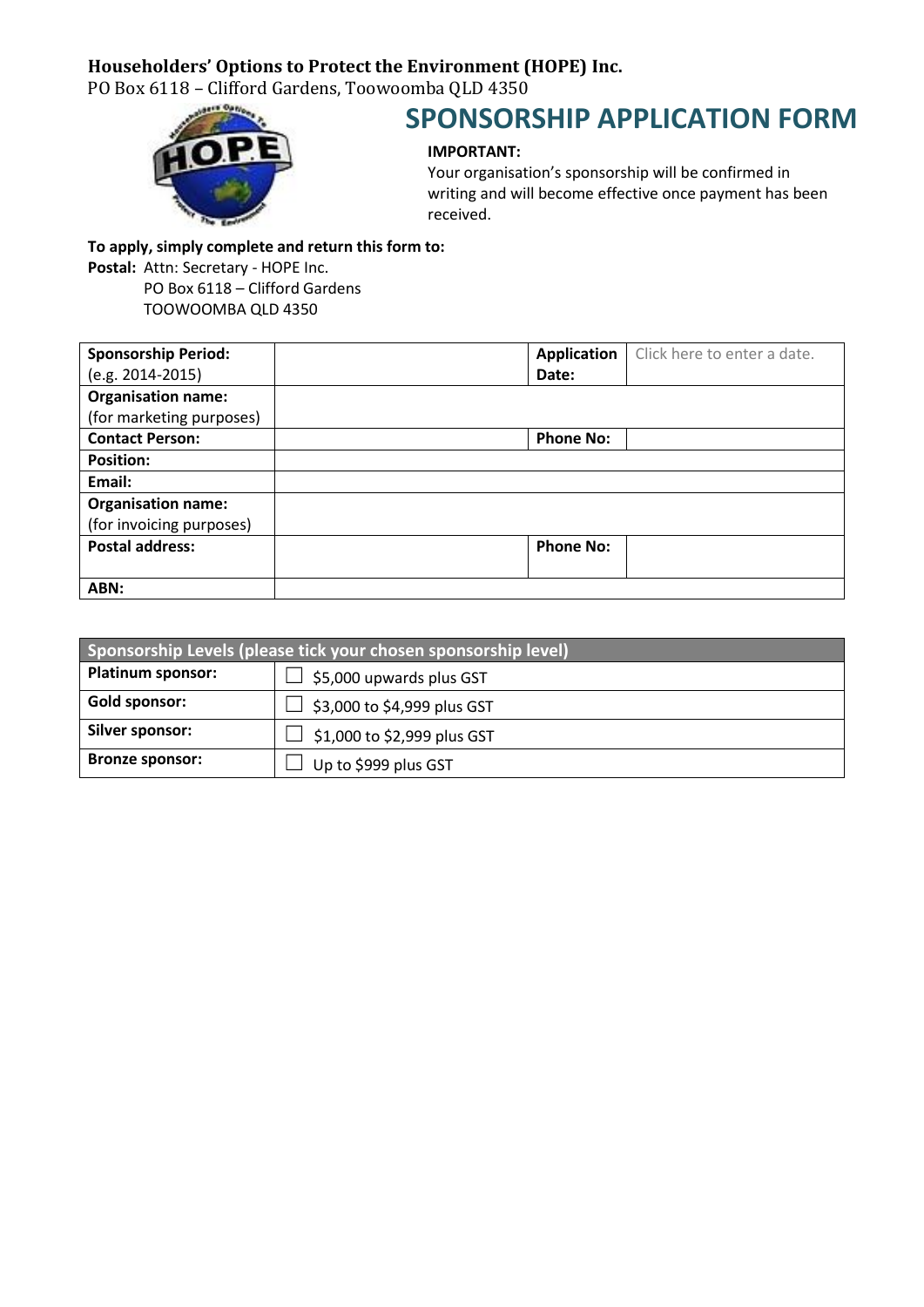## **Householders' Options to Protect the Environment (HOPE) Inc.**

PO Box 6118 – Clifford Gardens, Toowoomba QLD 4350



## **SPONSORSHIP APPLICATION FORM**

## **IMPORTANT:**

Your organisation's sponsorship will be confirmed in writing and will become effective once payment has been received.

**To apply, simply complete and return this form to:**

**Postal:** Attn: Secretary - HOPE Inc.

PO Box 6118 – Clifford Gardens TOOWOOMBA QLD 4350

| <b>Sponsorship Period:</b> | Application      | Click here to enter a date. |
|----------------------------|------------------|-----------------------------|
| $(e.g. 2014-2015)$         | Date:            |                             |
| <b>Organisation name:</b>  |                  |                             |
| (for marketing purposes)   |                  |                             |
| <b>Contact Person:</b>     | <b>Phone No:</b> |                             |
| <b>Position:</b>           |                  |                             |
| Email:                     |                  |                             |
| <b>Organisation name:</b>  |                  |                             |
| (for invoicing purposes)   |                  |                             |
| <b>Postal address:</b>     | <b>Phone No:</b> |                             |
|                            |                  |                             |
| ABN:                       |                  |                             |

| Sponsorship Levels (please tick your chosen sponsorship level) |                             |  |
|----------------------------------------------------------------|-----------------------------|--|
| <b>Platinum sponsor:</b>                                       | \$5,000 upwards plus GST    |  |
| <b>Gold sponsor:</b>                                           | \$3,000 to \$4,999 plus GST |  |
| Silver sponsor:                                                | \$1,000 to \$2,999 plus GST |  |
| <b>Bronze sponsor:</b>                                         | Up to \$999 plus GST        |  |